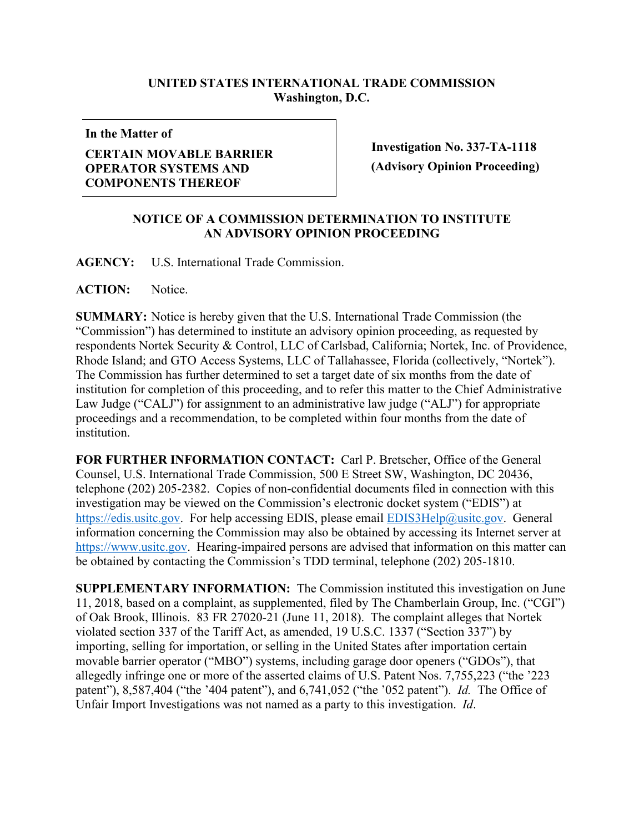## **UNITED STATES INTERNATIONAL TRADE COMMISSION Washington, D.C.**

**In the Matter of**

## **CERTAIN MOVABLE BARRIER OPERATOR SYSTEMS AND COMPONENTS THEREOF**

**Investigation No. 337-TA-1118 (Advisory Opinion Proceeding)**

## **NOTICE OF A COMMISSION DETERMINATION TO INSTITUTE AN ADVISORY OPINION PROCEEDING**

**AGENCY:** U.S. International Trade Commission.

ACTION: Notice.

**SUMMARY:** Notice is hereby given that the U.S. International Trade Commission (the "Commission") has determined to institute an advisory opinion proceeding, as requested by respondents Nortek Security & Control, LLC of Carlsbad, California; Nortek, Inc. of Providence, Rhode Island; and GTO Access Systems, LLC of Tallahassee, Florida (collectively, "Nortek"). The Commission has further determined to set a target date of six months from the date of institution for completion of this proceeding, and to refer this matter to the Chief Administrative Law Judge ("CALJ") for assignment to an administrative law judge ("ALJ") for appropriate proceedings and a recommendation, to be completed within four months from the date of institution.

**FOR FURTHER INFORMATION CONTACT:** Carl P. Bretscher, Office of the General Counsel, U.S. International Trade Commission, 500 E Street SW, Washington, DC 20436, telephone (202) 205-2382. Copies of non-confidential documents filed in connection with this investigation may be viewed on the Commission's electronic docket system ("EDIS") at [https://edis.usitc.gov.](https://edis.usitc.gov/) For help accessing EDIS, please email [EDIS3Help@usitc.gov.](mailto:EDIS3Help@usitc.gov) General information concerning the Commission may also be obtained by accessing its Internet server at [https://www.usitc.gov.](https://www.usitc.gov/) Hearing-impaired persons are advised that information on this matter can be obtained by contacting the Commission's TDD terminal, telephone (202) 205-1810.

**SUPPLEMENTARY INFORMATION:** The Commission instituted this investigation on June 11, 2018, based on a complaint, as supplemented, filed by The Chamberlain Group, Inc. ("CGI") of Oak Brook, Illinois. 83 FR 27020-21 (June 11, 2018). The complaint alleges that Nortek violated section 337 of the Tariff Act, as amended, 19 U.S.C. 1337 ("Section 337") by importing, selling for importation, or selling in the United States after importation certain movable barrier operator ("MBO") systems, including garage door openers ("GDOs"), that allegedly infringe one or more of the asserted claims of U.S. Patent Nos. 7,755,223 ("the '223 patent"), 8,587,404 ("the '404 patent"), and 6,741,052 ("the '052 patent"). *Id.* The Office of Unfair Import Investigations was not named as a party to this investigation. *Id*.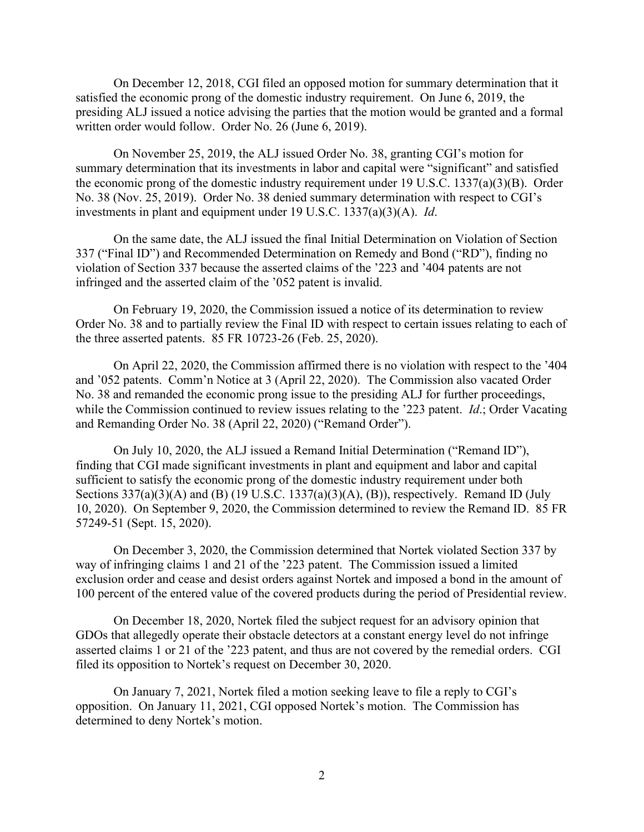On December 12, 2018, CGI filed an opposed motion for summary determination that it satisfied the economic prong of the domestic industry requirement. On June 6, 2019, the presiding ALJ issued a notice advising the parties that the motion would be granted and a formal written order would follow. Order No. 26 (June 6, 2019).

On November 25, 2019, the ALJ issued Order No. 38, granting CGI's motion for summary determination that its investments in labor and capital were "significant" and satisfied the economic prong of the domestic industry requirement under 19 U.S.C. 1337(a)(3)(B). Order No. 38 (Nov. 25, 2019). Order No. 38 denied summary determination with respect to CGI's investments in plant and equipment under 19 U.S.C. 1337(a)(3)(A). *Id*.

On the same date, the ALJ issued the final Initial Determination on Violation of Section 337 ("Final ID") and Recommended Determination on Remedy and Bond ("RD"), finding no violation of Section 337 because the asserted claims of the '223 and '404 patents are not infringed and the asserted claim of the '052 patent is invalid.

On February 19, 2020, the Commission issued a notice of its determination to review Order No. 38 and to partially review the Final ID with respect to certain issues relating to each of the three asserted patents. 85 FR 10723-26 (Feb. 25, 2020).

On April 22, 2020, the Commission affirmed there is no violation with respect to the '404 and '052 patents. Comm'n Notice at 3 (April 22, 2020). The Commission also vacated Order No. 38 and remanded the economic prong issue to the presiding ALJ for further proceedings, while the Commission continued to review issues relating to the '223 patent. *Id*.; Order Vacating and Remanding Order No. 38 (April 22, 2020) ("Remand Order").

On July 10, 2020, the ALJ issued a Remand Initial Determination ("Remand ID"), finding that CGI made significant investments in plant and equipment and labor and capital sufficient to satisfy the economic prong of the domestic industry requirement under both Sections  $337(a)(3)(A)$  and (B) (19 U.S.C. 1337(a)(3)(A), (B)), respectively. Remand ID (July 10, 2020). On September 9, 2020, the Commission determined to review the Remand ID. 85 FR 57249-51 (Sept. 15, 2020).

On December 3, 2020, the Commission determined that Nortek violated Section 337 by way of infringing claims 1 and 21 of the '223 patent. The Commission issued a limited exclusion order and cease and desist orders against Nortek and imposed a bond in the amount of 100 percent of the entered value of the covered products during the period of Presidential review.

On December 18, 2020, Nortek filed the subject request for an advisory opinion that GDOs that allegedly operate their obstacle detectors at a constant energy level do not infringe asserted claims 1 or 21 of the '223 patent, and thus are not covered by the remedial orders. CGI filed its opposition to Nortek's request on December 30, 2020.

On January 7, 2021, Nortek filed a motion seeking leave to file a reply to CGI's opposition. On January 11, 2021, CGI opposed Nortek's motion. The Commission has determined to deny Nortek's motion.